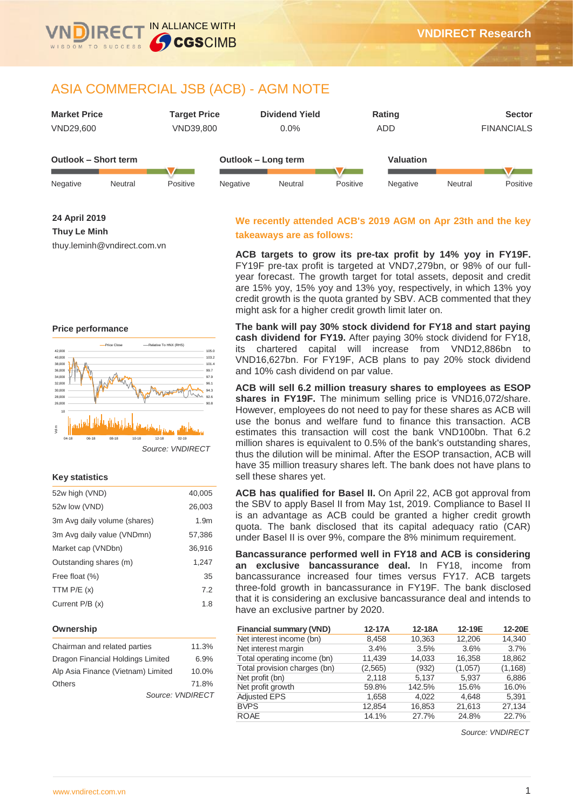

IN ALLIANCE WITH

CGSCIMB



**24 April 2019 Thuy Le Minh**

thuy.leminh@vndirect.com.vn

#### **Price performance**



#### **Key statistics**

| 52w high (VND)               | 40,005           |
|------------------------------|------------------|
| 52w low (VND)                | 26,003           |
| 3m Avg daily volume (shares) | 1.9 <sub>m</sub> |
| 3m Avg daily value (VNDmn)   | 57,386           |
| Market cap (VNDbn)           | 36,916           |
| Outstanding shares (m)       | 1,247            |
| Free float (%)               | 35               |
| TTM $P/E(x)$                 | 7.2              |
| Current $P/B(x)$             | 1.8              |

#### **Ownership**

| Chairman and related parties       | 11.3% |
|------------------------------------|-------|
| Dragon Financial Holdings Limited  | 6.9%  |
| Alp Asia Finance (Vietnam) Limited | 10.0% |
| <b>Others</b>                      | 71.8% |
| Source: VNDIRECT                   |       |

# **We recently attended ACB's 2019 AGM on Apr 23th and the key takeaways are as follows:**

**ACB targets to grow its pre-tax profit by 14% yoy in FY19F.** FY19F pre-tax profit is targeted at VND7,279bn, or 98% of our fullyear forecast. The growth target for total assets, deposit and credit are 15% yoy, 15% yoy and 13% yoy, respectively, in which 13% yoy credit growth is the quota granted by SBV. ACB commented that they might ask for a higher credit growth limit later on.

**The bank will pay 30% stock dividend for FY18 and start paying cash dividend for FY19.** After paying 30% stock dividend for FY18, its chartered capital will increase from VND12,886bn to VND16,627bn. For FY19F, ACB plans to pay 20% stock dividend and 10% cash dividend on par value.

**ACB will sell 6.2 million treasury shares to employees as ESOP shares in FY19F.** The minimum selling price is VND16,072/share. However, employees do not need to pay for these shares as ACB will use the bonus and welfare fund to finance this transaction. ACB estimates this transaction will cost the bank VND100bn. That 6.2 million shares is equivalent to 0.5% of the bank's outstanding shares, thus the dilution will be minimal. After the ESOP transaction, ACB will have 35 million treasury shares left. The bank does not have plans to sell these shares yet.

**ACB has qualified for Basel II.** On April 22, ACB got approval from the SBV to apply Basel II from May 1st, 2019. Compliance to Basel II is an advantage as ACB could be granted a higher credit growth quota. The bank disclosed that its capital adequacy ratio (CAR) under Basel II is over 9%, compare the 8% minimum requirement.

**Bancassurance performed well in FY18 and ACB is considering an exclusive bancassurance deal.** In FY18, income from bancassurance increased four times versus FY17. ACB targets three-fold growth in bancassurance in FY19F. The bank disclosed that it is considering an exclusive bancassurance deal and intends to have an exclusive partner by 2020.

| <b>Financial summary (VND)</b> | 12-17A  | 12-18A | 12-19E  | 12-20E   |
|--------------------------------|---------|--------|---------|----------|
| Net interest income (bn)       | 8,458   | 10,363 | 12,206  | 14,340   |
| Net interest margin            | 3.4%    | 3.5%   | 3.6%    | 3.7%     |
| Total operating income (bn)    | 11,439  | 14,033 | 16,358  | 18,862   |
| Total provision charges (bn)   | (2,565) | (932)  | (1,057) | (1, 168) |
| Net profit (bn)                | 2,118   | 5,137  | 5,937   | 6,886    |
| Net profit growth              | 59.8%   | 142.5% | 15.6%   | 16.0%    |
| <b>Adjusted EPS</b>            | 1,658   | 4.022  | 4.648   | 5,391    |
| <b>BVPS</b>                    | 12,854  | 16,853 | 21,613  | 27,134   |
| <b>ROAE</b>                    | 14.1%   | 27.7%  | 24.8%   | 22.7%    |

*Source: VNDIRECT*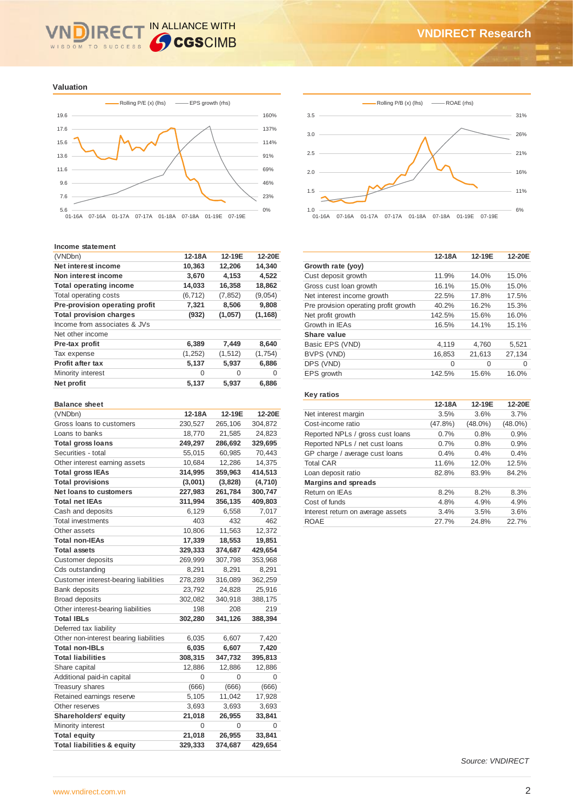#### IN ALLIANCE WITH **IRE** WISDOM TO SUCCESS

**Valuation**



#### **Income statement**

| (VNDbn)                        | 12-18A   | 12-19E   | 12-20E   |
|--------------------------------|----------|----------|----------|
| Net interest income            | 10,363   | 12,206   | 14.340   |
| Non interest income            | 3,670    | 4,153    | 4,522    |
| <b>Total operating income</b>  | 14,033   | 16,358   | 18,862   |
| Total operating costs          | (6, 712) | (7, 852) | (9,054)  |
| Pre-provision operating profit | 7,321    | 8,506    | 9,808    |
| <b>Total provision charges</b> | (932)    | (1,057)  | (1, 168) |
| Income from associates & JVs   |          |          |          |
| Net other income               |          |          |          |
| Pre-tax profit                 | 6,389    | 7,449    | 8,640    |
| Tax expense                    | (1,252)  | (1, 512) | (1,754)  |
| <b>Profit after tax</b>        | 5,137    | 5,937    | 6,886    |
| Minority interest              | 0        | O        | $\Omega$ |
| Net profit                     | 5,137    | 5,937    | 6,886    |
|                                |          |          |          |

#### **Balance sheet**

| (VNDbn)                                | 12-18A  | 12-19E  | 12-20E  |
|----------------------------------------|---------|---------|---------|
| Gross loans to customers               | 230,527 | 265,106 | 304,872 |
| Loans to banks                         | 18,770  | 21,585  | 24,823  |
| <b>Total gross loans</b>               | 249,297 | 286,692 | 329,695 |
| Securities - total                     | 55,015  | 60,985  | 70,443  |
| Other interest earning assets          | 10,684  | 12,286  | 14,375  |
| <b>Total gross IEAs</b>                | 314,995 | 359,963 | 414,513 |
| <b>Total provisions</b>                | (3,001) | (3,828) | (4,710) |
| <b>Net loans to customers</b>          | 227,983 | 261,784 | 300,747 |
| <b>Total net IEAs</b>                  | 311,994 | 356,135 | 409,803 |
| Cash and deposits                      | 6,129   | 6,558   | 7,017   |
| <b>Total investments</b>               | 403     | 432     | 462     |
| Other assets                           | 10,806  | 11,563  | 12,372  |
| Total non-IEAs                         | 17,339  | 18,553  | 19,851  |
| <b>Total assets</b>                    | 329,333 | 374,687 | 429,654 |
| <b>Customer deposits</b>               | 269,999 | 307,798 | 353,968 |
| Cds outstanding                        | 8,291   | 8,291   | 8,291   |
| Customer interest-bearing liabilities  | 278,289 | 316,089 | 362,259 |
| <b>Bank deposits</b>                   | 23,792  | 24,828  | 25,916  |
| <b>Broad deposits</b>                  | 302,082 | 340,918 | 388,175 |
| Other interest-bearing liabilities     | 198     | 208     | 219     |
| <b>Total IBLs</b>                      | 302,280 | 341,126 | 388,394 |
| Deferred tax liability                 |         |         |         |
| Other non-interest bearing liabilities | 6,035   | 6,607   | 7,420   |
| <b>Total non-IBLs</b>                  | 6,035   | 6,607   | 7,420   |
| <b>Total liabilities</b>               | 308,315 | 347,732 | 395,813 |
| Share capital                          | 12,886  | 12,886  | 12,886  |
| Additional paid-in capital             | 0       | 0       | 0       |
| Treasury shares                        | (666)   | (666)   | (666)   |
| Retained earnings reserve              | 5,105   | 11,042  | 17,928  |
| Other reserves                         | 3,693   | 3,693   | 3,693   |
| Shareholders' equity                   | 21,018  | 26,955  | 33,841  |
| Minority interest                      | 0       | 0       | 0       |
| <b>Total equity</b>                    | 21,018  | 26,955  | 33,841  |
| <b>Total liabilities &amp; equity</b>  | 329,333 | 374,687 | 429,654 |
|                                        |         |         |         |





|                                       | 12-18A   | 12-19E   | 12-20E |
|---------------------------------------|----------|----------|--------|
| Growth rate (yoy)                     |          |          |        |
| Cust deposit growth                   | 11.9%    | 14.0%    | 15.0%  |
| Gross cust loan growth                | 16.1%    | 15.0%    | 15.0%  |
| Net interest income growth            | 22.5%    | 17.8%    | 17.5%  |
| Pre provision operating profit growth | 40.2%    | 16.2%    | 15.3%  |
| Net profit growth                     | 142.5%   | 15.6%    | 16.0%  |
| Growth in IEAs                        | 16.5%    | 14.1%    | 15.1%  |
| Share value                           |          |          |        |
| Basic EPS (VND)                       | 4.119    | 4.760    | 5.521  |
| BVPS (VND)                            | 16,853   | 21.613   | 27.134 |
| DPS (VND)                             | $\Omega$ | $\Omega$ | 0      |
| EPS growth                            | 142.5%   | 15.6%    | 16.0%  |

# **Key ratios**

|                                   | 12-18A     | 12-19E     | 12-20E     |
|-----------------------------------|------------|------------|------------|
| Net interest margin               | 3.5%       | 3.6%       | 3.7%       |
| Cost-income ratio                 | $(47.8\%)$ | $(48.0\%)$ | $(48.0\%)$ |
| Reported NPLs / gross cust loans  | 0.7%       | 0.8%       | 0.9%       |
| Reported NPLs / net cust loans    | 0.7%       | 0.8%       | 0.9%       |
| GP charge / average cust loans    | 0.4%       | 0.4%       | 0.4%       |
| <b>Total CAR</b>                  | 11.6%      | 12.0%      | 12.5%      |
| Loan deposit ratio                | 82.8%      | 83.9%      | 84.2%      |
| <b>Margins and spreads</b>        |            |            |            |
| Return on IEAs                    | 8.2%       | 8.2%       | 8.3%       |
| Cost of funds                     | 4.8%       | 4.9%       | 4.9%       |
| Interest return on average assets | 3.4%       | 3.5%       | 3.6%       |
| <b>ROAE</b>                       | 27.7%      | 24.8%      | 22.7%      |

*Source: VNDIRECT*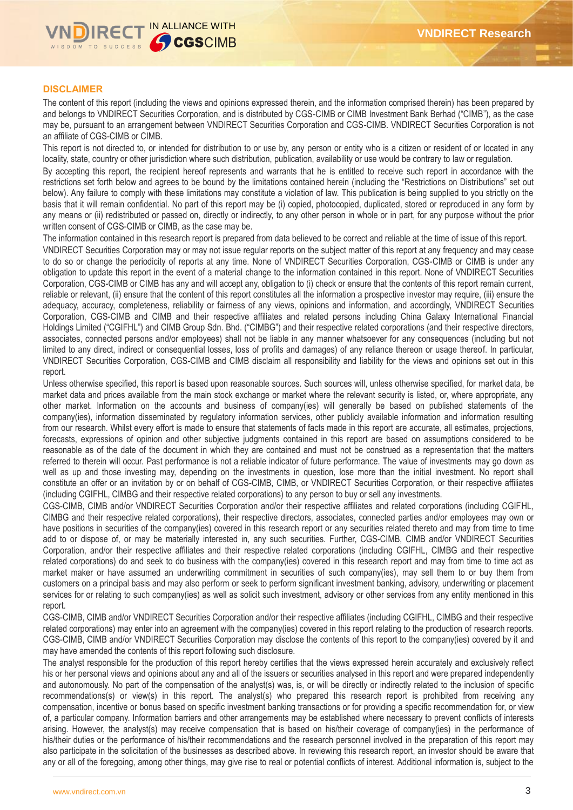#### **DISCLAIMER**

The content of this report (including the views and opinions expressed therein, and the information comprised therein) has been prepared by and belongs to VNDIRECT Securities Corporation, and is distributed by CGS-CIMB or CIMB Investment Bank Berhad ("CIMB"), as the case may be, pursuant to an arrangement between VNDIRECT Securities Corporation and CGS-CIMB. VNDIRECT Securities Corporation is not an affiliate of CGS-CIMB or CIMB.

This report is not directed to, or intended for distribution to or use by, any person or entity who is a citizen or resident of or located in any locality, state, country or other jurisdiction where such distribution, publication, availability or use would be contrary to law or regulation.

By accepting this report, the recipient hereof represents and warrants that he is entitled to receive such report in accordance with the restrictions set forth below and agrees to be bound by the limitations contained herein (including the "Restrictions on Distributions" set out below). Any failure to comply with these limitations may constitute a violation of law. This publication is being supplied to you strictly on the basis that it will remain confidential. No part of this report may be (i) copied, photocopied, duplicated, stored or reproduced in any form by any means or (ii) redistributed or passed on, directly or indirectly, to any other person in whole or in part, for any purpose without the prior written consent of CGS-CIMB or CIMB, as the case may be.

The information contained in this research report is prepared from data believed to be correct and reliable at the time of issue of this report.

VNDIRECT Securities Corporation may or may not issue regular reports on the subject matter of this report at any frequency and may cease to do so or change the periodicity of reports at any time. None of VNDIRECT Securities Corporation, CGS-CIMB or CIMB is under any obligation to update this report in the event of a material change to the information contained in this report. None of VNDIRECT Securities Corporation, CGS-CIMB or CIMB has any and will accept any, obligation to (i) check or ensure that the contents of this report remain current, reliable or relevant, (ii) ensure that the content of this report constitutes all the information a prospective investor may require, (iii) ensure the adequacy, accuracy, completeness, reliability or fairness of any views, opinions and information, and accordingly, VNDIRECT Securities Corporation, CGS-CIMB and CIMB and their respective affiliates and related persons including China Galaxy International Financial Holdings Limited ("CGIFHL") and CIMB Group Sdn. Bhd. ("CIMBG") and their respective related corporations (and their respective directors, associates, connected persons and/or employees) shall not be liable in any manner whatsoever for any consequences (including but not limited to any direct, indirect or consequential losses, loss of profits and damages) of any reliance thereon or usage thereof. In particular, VNDIRECT Securities Corporation, CGS-CIMB and CIMB disclaim all responsibility and liability for the views and opinions set out in this report.

Unless otherwise specified, this report is based upon reasonable sources. Such sources will, unless otherwise specified, for market data, be market data and prices available from the main stock exchange or market where the relevant security is listed, or, where appropriate, any other market. Information on the accounts and business of company(ies) will generally be based on published statements of the company(ies), information disseminated by regulatory information services, other publicly available information and information resulting from our research. Whilst every effort is made to ensure that statements of facts made in this report are accurate, all estimates, projections, forecasts, expressions of opinion and other subjective judgments contained in this report are based on assumptions considered to be reasonable as of the date of the document in which they are contained and must not be construed as a representation that the matters referred to therein will occur. Past performance is not a reliable indicator of future performance. The value of investments may go down as well as up and those investing may, depending on the investments in question, lose more than the initial investment. No report shall constitute an offer or an invitation by or on behalf of CGS-CIMB, CIMB, or VNDIRECT Securities Corporation, or their respective affiliates (including CGIFHL, CIMBG and their respective related corporations) to any person to buy or sell any investments.

CGS-CIMB, CIMB and/or VNDIRECT Securities Corporation and/or their respective affiliates and related corporations (including CGIFHL, CIMBG and their respective related corporations), their respective directors, associates, connected parties and/or employees may own or have positions in securities of the company(ies) covered in this research report or any securities related thereto and may from time to time add to or dispose of, or may be materially interested in, any such securities. Further, CGS-CIMB, CIMB and/or VNDIRECT Securities Corporation, and/or their respective affiliates and their respective related corporations (including CGIFHL, CIMBG and their respective related corporations) do and seek to do business with the company(ies) covered in this research report and may from time to time act as market maker or have assumed an underwriting commitment in securities of such company(ies), may sell them to or buy them from customers on a principal basis and may also perform or seek to perform significant investment banking, advisory, underwriting or placement services for or relating to such company(ies) as well as solicit such investment, advisory or other services from any entity mentioned in this report.

CGS-CIMB, CIMB and/or VNDIRECT Securities Corporation and/or their respective affiliates (including CGIFHL, CIMBG and their respective related corporations) may enter into an agreement with the company(ies) covered in this report relating to the production of research reports. CGS-CIMB, CIMB and/or VNDIRECT Securities Corporation may disclose the contents of this report to the company(ies) covered by it and may have amended the contents of this report following such disclosure.

The analyst responsible for the production of this report hereby certifies that the views expressed herein accurately and exclusively reflect his or her personal views and opinions about any and all of the issuers or securities analysed in this report and were prepared independently and autonomously. No part of the compensation of the analyst(s) was, is, or will be directly or indirectly related to the inclusion of specific recommendations(s) or view(s) in this report. The analyst(s) who prepared this research report is prohibited from receiving any compensation, incentive or bonus based on specific investment banking transactions or for providing a specific recommendation for, or view of, a particular company. Information barriers and other arrangements may be established where necessary to prevent conflicts of interests arising. However, the analyst(s) may receive compensation that is based on his/their coverage of company(ies) in the performance of his/their duties or the performance of his/their recommendations and the research personnel involved in the preparation of this report may also participate in the solicitation of the businesses as described above. In reviewing this research report, an investor should be aware that any or all of the foregoing, among other things, may give rise to real or potential conflicts of interest. Additional information is, subject to the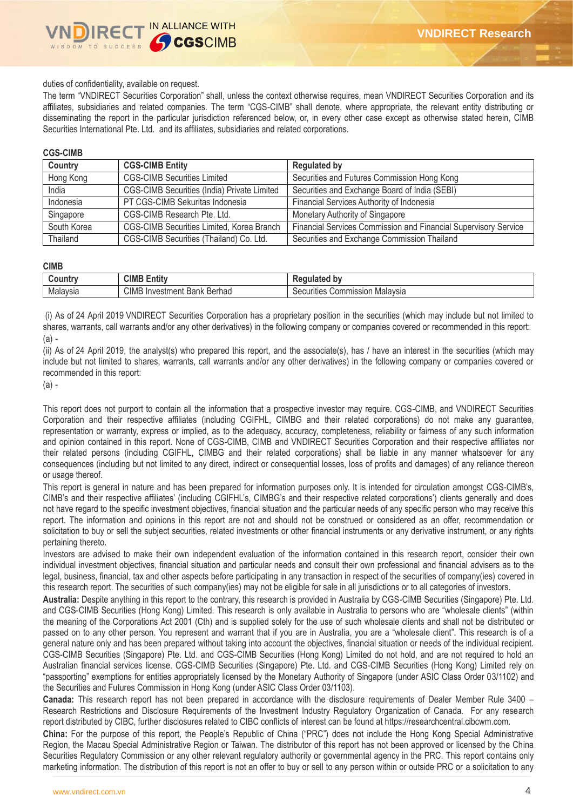

duties of confidentiality, available on request.

The term "VNDIRECT Securities Corporation" shall, unless the context otherwise requires, mean VNDIRECT Securities Corporation and its affiliates, subsidiaries and related companies. The term "CGS-CIMB" shall denote, where appropriate, the relevant entity distributing or disseminating the report in the particular jurisdiction referenced below, or, in every other case except as otherwise stated herein, CIMB Securities International Pte. Ltd. and its affiliates, subsidiaries and related corporations.

#### **CGS-CIMB**

| Country     | <b>CGS-CIMB Entity</b>                      | <b>Regulated by</b>                                             |
|-------------|---------------------------------------------|-----------------------------------------------------------------|
| Hong Kong   | <b>CGS-CIMB Securities Limited</b>          | Securities and Futures Commission Hong Kong                     |
| India       | CGS-CIMB Securities (India) Private Limited | Securities and Exchange Board of India (SEBI)                   |
| Indonesia   | PT CGS-CIMB Sekuritas Indonesia             | Financial Services Authority of Indonesia                       |
| Singapore   | CGS-CIMB Research Pte. Ltd.                 | Monetary Authority of Singapore                                 |
| South Korea | CGS-CIMB Securities Limited, Korea Branch   | Financial Services Commission and Financial Supervisory Service |
| Thailand    | CGS-CIMB Securities (Thailand) Co. Ltd.     | Securities and Exchange Commission Thailand                     |

#### **CIMB**

| ountr    | CIME<br>$\overline{1}$<br>Entity      | D١                                                      |
|----------|---------------------------------------|---------------------------------------------------------|
| Malaysia | CIMB<br>Berhad<br>∤Investmenf<br>Bank | Commission<br>Malavsia<br>$\Omega$<br><br>าties<br>алит |

(i) As of 24 April 2019 VNDIRECT Securities Corporation has a proprietary position in the securities (which may include but not limited to shares, warrants, call warrants and/or any other derivatives) in the following company or companies covered or recommended in this report: (a) -

(ii) As of 24 April 2019, the analyst(s) who prepared this report, and the associate(s), has / have an interest in the securities (which may include but not limited to shares, warrants, call warrants and/or any other derivatives) in the following company or companies covered or recommended in this report:

(a) -

This report does not purport to contain all the information that a prospective investor may require. CGS-CIMB, and VNDIRECT Securities Corporation and their respective affiliates (including CGIFHL, CIMBG and their related corporations) do not make any guarantee, representation or warranty, express or implied, as to the adequacy, accuracy, completeness, reliability or fairness of any such information and opinion contained in this report. None of CGS-CIMB, CIMB and VNDIRECT Securities Corporation and their respective affiliates nor their related persons (including CGIFHL, CIMBG and their related corporations) shall be liable in any manner whatsoever for any consequences (including but not limited to any direct, indirect or consequential losses, loss of profits and damages) of any reliance thereon or usage thereof.

This report is general in nature and has been prepared for information purposes only. It is intended for circulation amongst CGS-CIMB's, CIMB's and their respective affiliates' (including CGIFHL's, CIMBG's and their respective related corporations') clients generally and does not have regard to the specific investment objectives, financial situation and the particular needs of any specific person who may receive this report. The information and opinions in this report are not and should not be construed or considered as an offer, recommendation or solicitation to buy or sell the subject securities, related investments or other financial instruments or any derivative instrument, or any rights pertaining thereto.

Investors are advised to make their own independent evaluation of the information contained in this research report, consider their own individual investment objectives, financial situation and particular needs and consult their own professional and financial advisers as to the legal, business, financial, tax and other aspects before participating in any transaction in respect of the securities of company(ies) covered in this research report. The securities of such company(ies) may not be eligible for sale in all jurisdictions or to all categories of investors.

**Australia:** Despite anything in this report to the contrary, this research is provided in Australia by CGS-CIMB Securities (Singapore) Pte. Ltd. and CGS-CIMB Securities (Hong Kong) Limited. This research is only available in Australia to persons who are "wholesale clients" (within the meaning of the Corporations Act 2001 (Cth) and is supplied solely for the use of such wholesale clients and shall not be distributed or passed on to any other person. You represent and warrant that if you are in Australia, you are a "wholesale client". This research is of a general nature only and has been prepared without taking into account the objectives, financial situation or needs of the individual recipient. CGS-CIMB Securities (Singapore) Pte. Ltd. and CGS-CIMB Securities (Hong Kong) Limited do not hold, and are not required to hold an Australian financial services license. CGS-CIMB Securities (Singapore) Pte. Ltd. and CGS-CIMB Securities (Hong Kong) Limited rely on "passporting" exemptions for entities appropriately licensed by the Monetary Authority of Singapore (under ASIC Class Order 03/1102) and the Securities and Futures Commission in Hong Kong (under ASIC Class Order 03/1103).

**Canada:** This research report has not been prepared in accordance with the disclosure requirements of Dealer Member Rule 3400 – Research Restrictions and Disclosure Requirements of the Investment Industry Regulatory Organization of Canada. For any research report distributed by CIBC, further disclosures related to CIBC conflicts of interest can be found at https://researchcentral.cibcwm.com.

**China:** For the purpose of this report, the People's Republic of China ("PRC") does not include the Hong Kong Special Administrative Region, the Macau Special Administrative Region or Taiwan. The distributor of this report has not been approved or licensed by the China Securities Regulatory Commission or any other relevant regulatory authority or governmental agency in the PRC. This report contains only marketing information. The distribution of this report is not an offer to buy or sell to any person within or outside PRC or a solicitation to any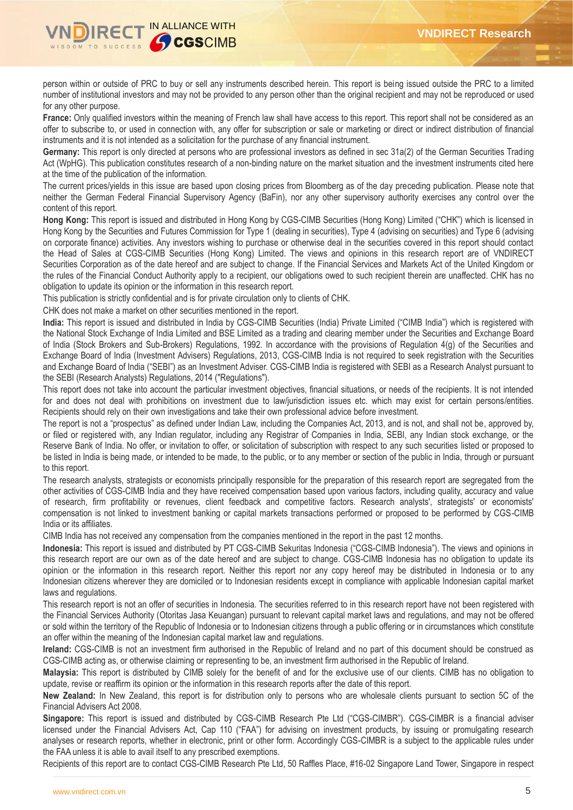

person within or outside of PRC to buy or sell any instruments described herein. This report is being issued outside the PRC to a limited number of institutional investors and may not be provided to any person other than the original recipient and may not be reproduced or used for any other purpose.

France: Only qualified investors within the meaning of French law shall have access to this report. This report shall not be considered as an offer to subscribe to, or used in connection with, any offer for subscription or sale or marketing or direct or indirect distribution of financial instruments and it is not intended as a solicitation for the purchase of any financial instrument.

**Germany:** This report is only directed at persons who are professional investors as defined in sec 31a(2) of the German Securities Trading Act (WpHG). This publication constitutes research of a non-binding nature on the market situation and the investment instruments cited here at the time of the publication of the information.

The current prices/yields in this issue are based upon closing prices from Bloomberg as of the day preceding publication. Please note that neither the German Federal Financial Supervisory Agency (BaFin), nor any other supervisory authority exercises any control over the content of this report.

**Hong Kong:** This report is issued and distributed in Hong Kong by CGS-CIMB Securities (Hong Kong) Limited ("CHK") which is licensed in Hong Kong by the Securities and Futures Commission for Type 1 (dealing in securities), Type 4 (advising on securities) and Type 6 (advising on corporate finance) activities. Any investors wishing to purchase or otherwise deal in the securities covered in this report should contact the Head of Sales at CGS-CIMB Securities (Hong Kong) Limited. The views and opinions in this research report are of VNDIRECT Securities Corporation as of the date hereof and are subject to change. If the Financial Services and Markets Act of the United Kingdom or the rules of the Financial Conduct Authority apply to a recipient, our obligations owed to such recipient therein are unaffected. CHK has no obligation to update its opinion or the information in this research report.

This publication is strictly confidential and is for private circulation only to clients of CHK.

CHK does not make a market on other securities mentioned in the report.

**India:** This report is issued and distributed in India by CGS-CIMB Securities (India) Private Limited ("CIMB India") which is registered with the National Stock Exchange of India Limited and BSE Limited as a trading and clearing member under the Securities and Exchange Board of India (Stock Brokers and Sub-Brokers) Regulations, 1992. In accordance with the provisions of Regulation 4(g) of the Securities and Exchange Board of India (Investment Advisers) Regulations, 2013, CGS-CIMB India is not required to seek registration with the Securities and Exchange Board of India ("SEBI") as an Investment Adviser. CGS-CIMB India is registered with SEBI as a Research Analyst pursuant to the SEBI (Research Analysts) Regulations, 2014 ("Regulations").

This report does not take into account the particular investment objectives, financial situations, or needs of the recipients. It is not intended for and does not deal with prohibitions on investment due to law/jurisdiction issues etc. which may exist for certain persons/entities. Recipients should rely on their own investigations and take their own professional advice before investment.

The report is not a "prospectus" as defined under Indian Law, including the Companies Act, 2013, and is not, and shall not be, approved by, or filed or registered with, any Indian regulator, including any Registrar of Companies in India, SEBI, any Indian stock exchange, or the Reserve Bank of India. No offer, or invitation to offer, or solicitation of subscription with respect to any such securities listed or proposed to be listed in India is being made, or intended to be made, to the public, or to any member or section of the public in India, through or pursuant to this report.

The research analysts, strategists or economists principally responsible for the preparation of this research report are segregated from the other activities of CGS-CIMB India and they have received compensation based upon various factors, including quality, accuracy and value of research, firm profitability or revenues, client feedback and competitive factors. Research analysts', strategists' or economists' compensation is not linked to investment banking or capital markets transactions performed or proposed to be performed by CGS-CIMB India or its affiliates.

CIMB India has not received any compensation from the companies mentioned in the report in the past 12 months.

**Indonesia:** This report is issued and distributed by PT CGS-CIMB Sekuritas Indonesia ("CGS-CIMB Indonesia"). The views and opinions in this research report are our own as of the date hereof and are subject to change. CGS-CIMB Indonesia has no obligation to update its opinion or the information in this research report. Neither this report nor any copy hereof may be distributed in Indonesia or to any Indonesian citizens wherever they are domiciled or to Indonesian residents except in compliance with applicable Indonesian capital market laws and regulations.

This research report is not an offer of securities in Indonesia. The securities referred to in this research report have not been registered with the Financial Services Authority (Otoritas Jasa Keuangan) pursuant to relevant capital market laws and regulations, and may not be offered or sold within the territory of the Republic of Indonesia or to Indonesian citizens through a public offering or in circumstances which constitute an offer within the meaning of the Indonesian capital market law and regulations.

**Ireland:** CGS-CIMB is not an investment firm authorised in the Republic of Ireland and no part of this document should be construed as CGS-CIMB acting as, or otherwise claiming or representing to be, an investment firm authorised in the Republic of Ireland.

**Malaysia:** This report is distributed by CIMB solely for the benefit of and for the exclusive use of our clients. CIMB has no obligation to update, revise or reaffirm its opinion or the information in this research reports after the date of this report.

**New Zealand:** In New Zealand, this report is for distribution only to persons who are wholesale clients pursuant to section 5C of the Financial Advisers Act 2008.

**Singapore:** This report is issued and distributed by CGS-CIMB Research Pte Ltd ("CGS-CIMBR"). CGS-CIMBR is a financial adviser licensed under the Financial Advisers Act, Cap 110 ("FAA") for advising on investment products, by issuing or promulgating research analyses or research reports, whether in electronic, print or other form. Accordingly CGS-CIMBR is a subject to the applicable rules under the FAA unless it is able to avail itself to any prescribed exemptions.

Recipients of this report are to contact CGS-CIMB Research Pte Ltd, 50 Raffles Place, #16-02 Singapore Land Tower, Singapore in respect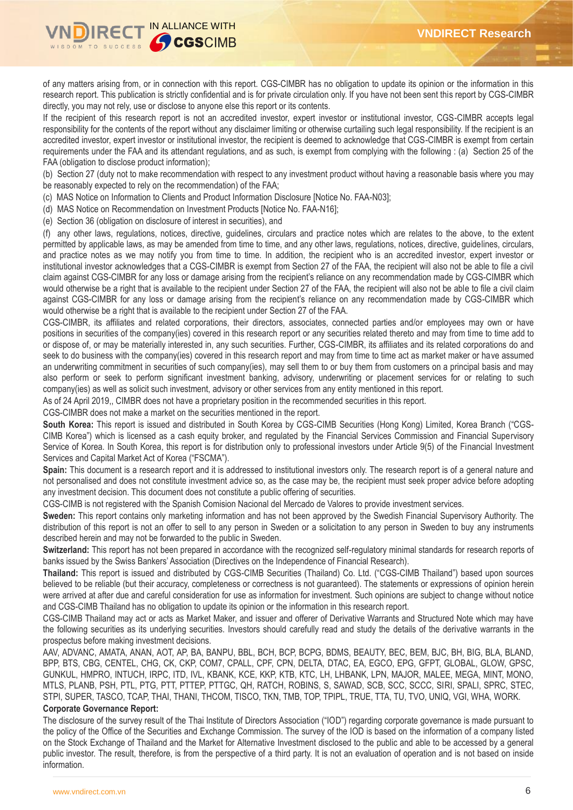

of any matters arising from, or in connection with this report. CGS-CIMBR has no obligation to update its opinion or the information in this research report. This publication is strictly confidential and is for private circulation only. If you have not been sent this report by CGS-CIMBR directly, you may not rely, use or disclose to anyone else this report or its contents.

If the recipient of this research report is not an accredited investor, expert investor or institutional investor, CGS-CIMBR accepts legal responsibility for the contents of the report without any disclaimer limiting or otherwise curtailing such legal responsibility. If the recipient is an accredited investor, expert investor or institutional investor, the recipient is deemed to acknowledge that CGS-CIMBR is exempt from certain requirements under the FAA and its attendant regulations, and as such, is exempt from complying with the following : (a) Section 25 of the FAA (obligation to disclose product information);

(b) Section 27 (duty not to make recommendation with respect to any investment product without having a reasonable basis where you may be reasonably expected to rely on the recommendation) of the FAA;

(c) MAS Notice on Information to Clients and Product Information Disclosure [Notice No. FAA-N03];

- (d) MAS Notice on Recommendation on Investment Products [Notice No. FAA-N16];
- (e) Section 36 (obligation on disclosure of interest in securities), and

(f) any other laws, regulations, notices, directive, guidelines, circulars and practice notes which are relates to the above, to the extent permitted by applicable laws, as may be amended from time to time, and any other laws, regulations, notices, directive, guidelines, circulars, and practice notes as we may notify you from time to time. In addition, the recipient who is an accredited investor, expert investor or institutional investor acknowledges that a CGS-CIMBR is exempt from Section 27 of the FAA, the recipient will also not be able to file a civil claim against CGS-CIMBR for any loss or damage arising from the recipient's reliance on any recommendation made by CGS-CIMBR which would otherwise be a right that is available to the recipient under Section 27 of the FAA, the recipient will also not be able to file a civil claim against CGS-CIMBR for any loss or damage arising from the recipient's reliance on any recommendation made by CGS-CIMBR which would otherwise be a right that is available to the recipient under Section 27 of the FAA.

CGS-CIMBR, its affiliates and related corporations, their directors, associates, connected parties and/or employees may own or have positions in securities of the company(ies) covered in this research report or any securities related thereto and may from time to time add to or dispose of, or may be materially interested in, any such securities. Further, CGS-CIMBR, its affiliates and its related corporations do and seek to do business with the company(ies) covered in this research report and may from time to time act as market maker or have assumed an underwriting commitment in securities of such company(ies), may sell them to or buy them from customers on a principal basis and may also perform or seek to perform significant investment banking, advisory, underwriting or placement services for or relating to such company(ies) as well as solicit such investment, advisory or other services from any entity mentioned in this report.

As of 24 April 2019,, CIMBR does not have a proprietary position in the recommended securities in this report.

CGS-CIMBR does not make a market on the securities mentioned in the report.

**South Korea:** This report is issued and distributed in South Korea by CGS-CIMB Securities (Hong Kong) Limited, Korea Branch ("CGS-CIMB Korea") which is licensed as a cash equity broker, and regulated by the Financial Services Commission and Financial Supervisory Service of Korea. In South Korea, this report is for distribution only to professional investors under Article 9(5) of the Financial Investment Services and Capital Market Act of Korea ("FSCMA").

**Spain:** This document is a research report and it is addressed to institutional investors only. The research report is of a general nature and not personalised and does not constitute investment advice so, as the case may be, the recipient must seek proper advice before adopting any investment decision. This document does not constitute a public offering of securities.

CGS-CIMB is not registered with the Spanish Comision Nacional del Mercado de Valores to provide investment services.

**Sweden:** This report contains only marketing information and has not been approved by the Swedish Financial Supervisory Authority. The distribution of this report is not an offer to sell to any person in Sweden or a solicitation to any person in Sweden to buy any instruments described herein and may not be forwarded to the public in Sweden.

**Switzerland:** This report has not been prepared in accordance with the recognized self-regulatory minimal standards for research reports of banks issued by the Swiss Bankers' Association (Directives on the Independence of Financial Research).

**Thailand:** This report is issued and distributed by CGS-CIMB Securities (Thailand) Co. Ltd. ("CGS-CIMB Thailand") based upon sources believed to be reliable (but their accuracy, completeness or correctness is not guaranteed). The statements or expressions of opinion herein were arrived at after due and careful consideration for use as information for investment. Such opinions are subject to change without notice and CGS-CIMB Thailand has no obligation to update its opinion or the information in this research report.

CGS-CIMB Thailand may act or acts as Market Maker, and issuer and offerer of Derivative Warrants and Structured Note which may have the following securities as its underlying securities. Investors should carefully read and study the details of the derivative warrants in the prospectus before making investment decisions.

AAV, ADVANC, AMATA, ANAN, AOT, AP, BA, BANPU, BBL, BCH, BCP, BCPG, BDMS, BEAUTY, BEC, BEM, BJC, BH, BIG, BLA, BLAND, BPP, BTS, CBG, CENTEL, CHG, CK, CKP, COM7, CPALL, CPF, CPN, DELTA, DTAC, EA, EGCO, EPG, GFPT, GLOBAL, GLOW, GPSC, GUNKUL, HMPRO, INTUCH, IRPC, ITD, IVL, KBANK, KCE, KKP, KTB, KTC, LH, LHBANK, LPN, MAJOR, MALEE, MEGA, MINT, MONO, MTLS, PLANB, PSH, PTL, PTG, PTT, PTTEP, PTTGC, QH, RATCH, ROBINS, S, SAWAD, SCB, SCC, SCCC, SIRI, SPALI, SPRC, STEC, STPI, SUPER, TASCO, TCAP, THAI, THANI, THCOM, TISCO, TKN, TMB, TOP, TPIPL, TRUE, TTA, TU, TVO, UNIQ, VGI, WHA, WORK.

#### **Corporate Governance Report:**

The disclosure of the survey result of the Thai Institute of Directors Association ("IOD") regarding corporate governance is made pursuant to the policy of the Office of the Securities and Exchange Commission. The survey of the IOD is based on the information of a company listed on the Stock Exchange of Thailand and the Market for Alternative Investment disclosed to the public and able to be accessed by a general public investor. The result, therefore, is from the perspective of a third party. It is not an evaluation of operation and is not based on inside information.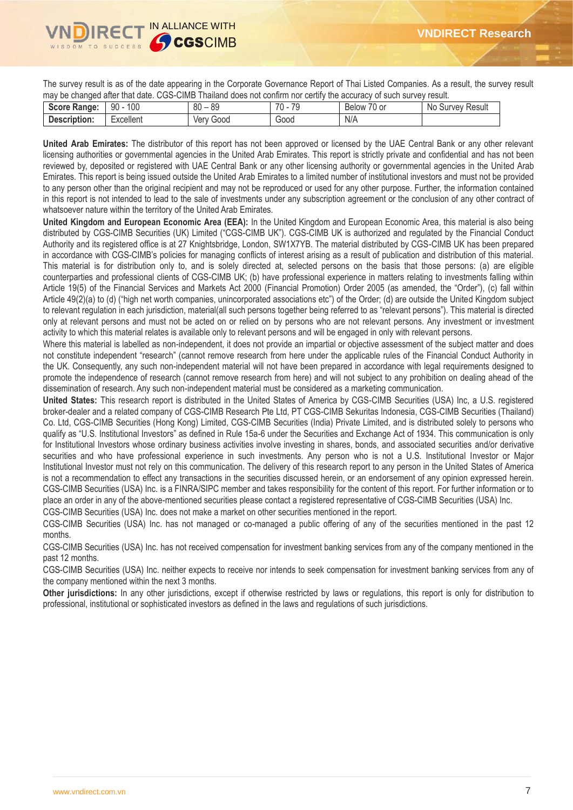The survey result is as of the date appearing in the Corporate Governance Report of Thai Listed Companies. As a result, the survey result may be changed after that date. CGS-CIMB Thailand does not confirm nor certify the accuracy of such survey result.

| <b>Score</b><br>Range: | 100<br>90     | 0 <sup>0</sup><br>$\circ$<br>೦೮<br>ου | 70<br>70<br>$\overline{\phantom{a}}$ | $\neg$<br>.0 or<br>Below | Result<br>No<br>' urvevٽ |
|------------------------|---------------|---------------------------------------|--------------------------------------|--------------------------|--------------------------|
| <b>Description:</b>    | <br>Excellent | Good<br>ver                           | Good                                 | N/A                      |                          |
|                        |               |                                       |                                      |                          |                          |

**United Arab Emirates:** The distributor of this report has not been approved or licensed by the UAE Central Bank or any other relevant licensing authorities or governmental agencies in the United Arab Emirates. This report is strictly private and confidential and has not been reviewed by, deposited or registered with UAE Central Bank or any other licensing authority or governmental agencies in the United Arab Emirates. This report is being issued outside the United Arab Emirates to a limited number of institutional investors and must not be provided to any person other than the original recipient and may not be reproduced or used for any other purpose. Further, the information contained in this report is not intended to lead to the sale of investments under any subscription agreement or the conclusion of any other contract of whatsoever nature within the territory of the United Arab Emirates.

**United Kingdom and European Economic Area (EEA):** In the United Kingdom and European Economic Area, this material is also being distributed by CGS-CIMB Securities (UK) Limited ("CGS-CIMB UK"). CGS-CIMB UK is authorized and regulated by the Financial Conduct Authority and its registered office is at 27 Knightsbridge, London, SW1X7YB. The material distributed by CGS-CIMB UK has been prepared in accordance with CGS-CIMB's policies for managing conflicts of interest arising as a result of publication and distribution of this material. This material is for distribution only to, and is solely directed at, selected persons on the basis that those persons: (a) are eligible counterparties and professional clients of CGS-CIMB UK; (b) have professional experience in matters relating to investments falling within Article 19(5) of the Financial Services and Markets Act 2000 (Financial Promotion) Order 2005 (as amended, the "Order"), (c) fall within Article 49(2)(a) to (d) ("high net worth companies, unincorporated associations etc") of the Order; (d) are outside the United Kingdom subject to relevant regulation in each jurisdiction, material(all such persons together being referred to as "relevant persons"). This material is directed only at relevant persons and must not be acted on or relied on by persons who are not relevant persons. Any investment or investment activity to which this material relates is available only to relevant persons and will be engaged in only with relevant persons.

Where this material is labelled as non-independent, it does not provide an impartial or objective assessment of the subject matter and does not constitute independent "research" (cannot remove research from here under the applicable rules of the Financial Conduct Authority in the UK. Consequently, any such non-independent material will not have been prepared in accordance with legal requirements designed to promote the independence of research (cannot remove research from here) and will not subject to any prohibition on dealing ahead of the dissemination of research. Any such non-independent material must be considered as a marketing communication.

**United States:** This research report is distributed in the United States of America by CGS-CIMB Securities (USA) Inc, a U.S. registered broker-dealer and a related company of CGS-CIMB Research Pte Ltd, PT CGS-CIMB Sekuritas Indonesia, CGS-CIMB Securities (Thailand) Co. Ltd, CGS-CIMB Securities (Hong Kong) Limited, CGS-CIMB Securities (India) Private Limited, and is distributed solely to persons who qualify as "U.S. Institutional Investors" as defined in Rule 15a-6 under the Securities and Exchange Act of 1934. This communication is only for Institutional Investors whose ordinary business activities involve investing in shares, bonds, and associated securities and/or derivative securities and who have professional experience in such investments. Any person who is not a U.S. Institutional Investor or Major Institutional Investor must not rely on this communication. The delivery of this research report to any person in the United States of America is not a recommendation to effect any transactions in the securities discussed herein, or an endorsement of any opinion expressed herein. CGS-CIMB Securities (USA) Inc. is a FINRA/SIPC member and takes responsibility for the content of this report. For further information or to place an order in any of the above-mentioned securities please contact a registered representative of CGS-CIMB Securities (USA) Inc.

CGS-CIMB Securities (USA) Inc. does not make a market on other securities mentioned in the report.

CGS-CIMB Securities (USA) Inc. has not managed or co-managed a public offering of any of the securities mentioned in the past 12 months.

CGS-CIMB Securities (USA) Inc. has not received compensation for investment banking services from any of the company mentioned in the past 12 months.

CGS-CIMB Securities (USA) Inc. neither expects to receive nor intends to seek compensation for investment banking services from any of the company mentioned within the next 3 months.

**Other jurisdictions:** In any other jurisdictions, except if otherwise restricted by laws or regulations, this report is only for distribution to professional, institutional or sophisticated investors as defined in the laws and regulations of such jurisdictions.